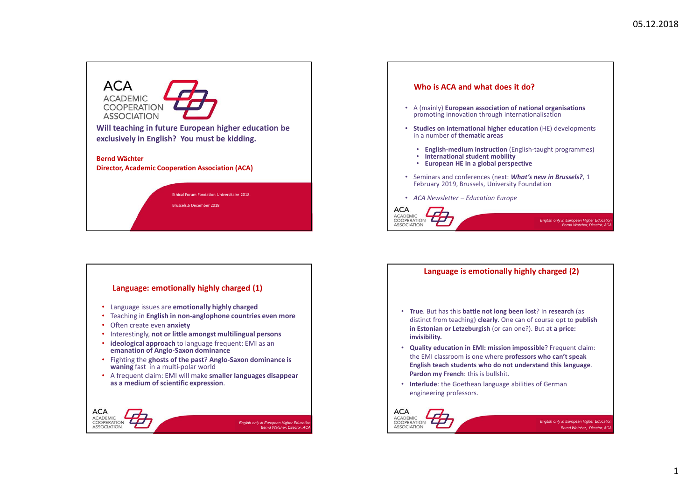

# Language: emotionally highly charged (1) • Language issues are emotionally highly charged • Teaching in English in non-anglophone countries even more • Often create even anxiety • Interestingly, not or little amongst multilingual persons • ideological approach to language frequent: EMI as an emanation of Anglo-Saxon dominance • Fighting the ghosts of the past? Anglo-Saxon dominance is waning fast in a multi-polar world • A frequent claim: EMI will make smaller languages disappear as a medium of scientific expression. **ACA** ACADEMIC  $\Gamma$ ASSOCIATION



### Language is emotionally highly charged (2)

- True. But has this battle not long been lost? In research (as distinct from teaching) clearly. One can of course opt to publish in Estonian or Letzeburgish (or can one?). But at a price: invisibility.
- the EMI classroom is one where professors who can't speak English teach students who do not understand this language. Pardon my French: this is bullshit.
- engineering professors.

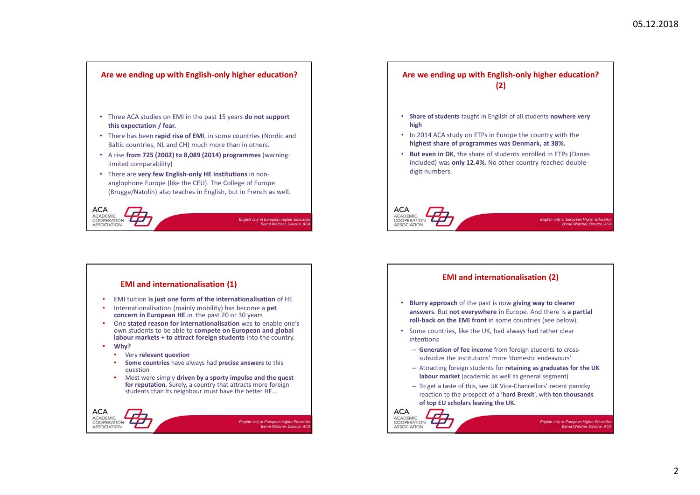

## EMI and internationalisation (2)

**ACA** 

ACADEMIC

ASSOCIATION

 $\overline{L}P$ 

- EMI tuition is just one form of the internationalisation of HE **Blurry approach** of the past is now giving way to clearer answers. But not everywhere in Europe. And there is a partial roll-back on the EMI front in some countries (see below).
	- Some countries, like the UK, had always had rather clear intentions
		- Generation of fee income from foreign students to crosssubsidize the institutions' more 'domestic endeavours'
		- Attracting foreign students for retaining as graduates for the UK labour market (academic as well as general segment)
		- To get a taste of this, see UK Vice-Chancellors' recent panicky reaction to the prospect of a 'hard Brexit', with ten thousands of top EU scholars leaving the UK.

English only in European Higher Education<br>Bernd Watcher, Director, ACA

#### • Internationalisation (mainly mobility) has become a **pet** concern in European HE in the past 20 or 30 years

• One stated reason for internationalisation was to enable one's own students to be able to compete on European and global labour markets + to attract foreign students into the country.

EMI and internationalisation (1)

- Why?
	- Very relevant question
	- Some countries have always had precise answers to this question
	- Most were simply driven by a sporty impulse and the quest for reputation. Surely, a country that attracts more foreign students than its neighbour must have the better HE…

**ACA** ACADEMIC COOPERATION  $\Gamma$ English only in European Higher Education<br>Bernd Watcher, Director, ACA ASSOCIATION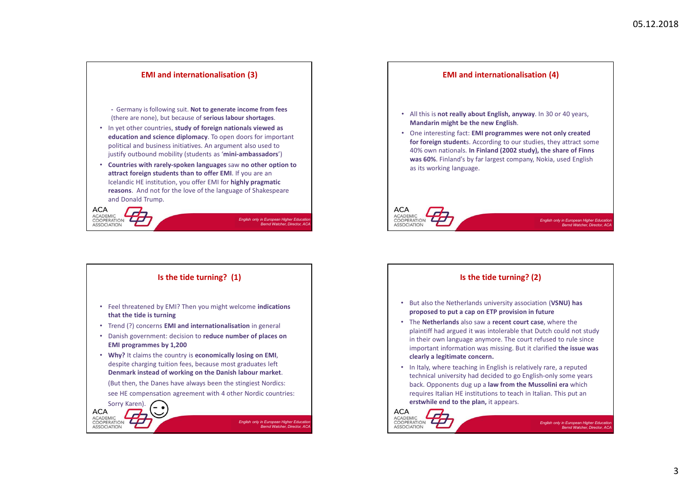

English only in European Higher Education<br>Bernd Watcher, Director, ACA

Is the tide turning? (1)

• Feel threatened by EMI? Then you might welcome indications

• Trend (?) concerns EMI and internationalisation in general • Danish government: decision to reduce number of places on

• Why? It claims the country is economically losing on EMI, despite charging tuition fees, because most graduates left

see HE compensation agreement with 4 other Nordic countries:

that the tide is turning

Sorry Karen).

## Is the tide turning? (2)

- But also the Netherlands university association (VSNU) has proposed to put a cap on ETP provision in future
- The Netherlands also saw a recent court case, where the plaintiff had argued it was intolerable that Dutch could not study in their own language anymore. The court refused to rule since important information was missing. But it clarified the issue was clearly a legitimate concern.
- In Italy, where teaching in English is relatively rare, a reputed technical university had decided to go English-only some years back. Opponents dug up a law from the Mussolini era which requires Italian HE institutions to teach in Italian. This put an erstwhile end to the plan, it appears.